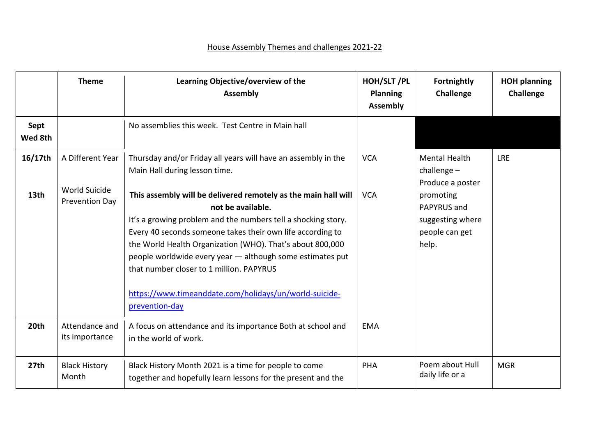## House Assembly Themes and challenges 2021-22

|                  | <b>Theme</b>                                        | Learning Objective/overview of the<br><b>Assembly</b>                                                                                                                                                                                                                                             | HOH/SLT/PL<br>Planning<br><b>Assembly</b> | Fortnightly<br><b>Challenge</b>                                                       | <b>HOH planning</b><br>Challenge |
|------------------|-----------------------------------------------------|---------------------------------------------------------------------------------------------------------------------------------------------------------------------------------------------------------------------------------------------------------------------------------------------------|-------------------------------------------|---------------------------------------------------------------------------------------|----------------------------------|
| Sept<br>Wed 8th  |                                                     | No assemblies this week. Test Centre in Main hall                                                                                                                                                                                                                                                 |                                           |                                                                                       |                                  |
| 16/17th<br>13th  | A Different Year<br>World Suicide<br>Prevention Day | Thursday and/or Friday all years will have an assembly in the<br>Main Hall during lesson time.<br>This assembly will be delivered remotely as the main hall will<br>not be available.                                                                                                             | <b>VCA</b><br><b>VCA</b>                  | <b>Mental Health</b><br>challenge $-$<br>Produce a poster<br>promoting<br>PAPYRUS and | <b>LRE</b>                       |
|                  |                                                     | It's a growing problem and the numbers tell a shocking story.<br>Every 40 seconds someone takes their own life according to<br>the World Health Organization (WHO). That's about 800,000<br>people worldwide every year - although some estimates put<br>that number closer to 1 million. PAPYRUS |                                           | suggesting where<br>people can get<br>help.                                           |                                  |
|                  |                                                     | https://www.timeanddate.com/holidays/un/world-suicide-<br>prevention-day                                                                                                                                                                                                                          |                                           |                                                                                       |                                  |
| 20th             | Attendance and<br>its importance                    | A focus on attendance and its importance Both at school and<br>in the world of work.                                                                                                                                                                                                              | <b>EMA</b>                                |                                                                                       |                                  |
| 27 <sub>th</sub> | <b>Black History</b><br>Month                       | Black History Month 2021 is a time for people to come<br>together and hopefully learn lessons for the present and the                                                                                                                                                                             | <b>PHA</b>                                | Poem about Hull<br>daily life or a                                                    | <b>MGR</b>                       |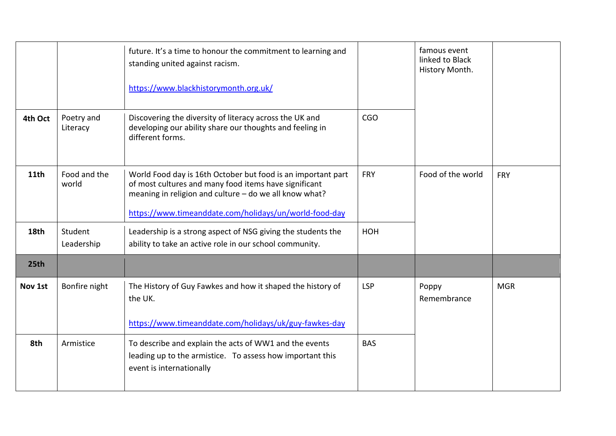|         |                        | future. It's a time to honour the commitment to learning and<br>standing united against racism.<br>https://www.blackhistorymonth.org.uk/                                                                                                  |            | famous event<br>linked to Black<br>History Month. |            |
|---------|------------------------|-------------------------------------------------------------------------------------------------------------------------------------------------------------------------------------------------------------------------------------------|------------|---------------------------------------------------|------------|
| 4th Oct | Poetry and<br>Literacy | Discovering the diversity of literacy across the UK and<br>developing our ability share our thoughts and feeling in<br>different forms.                                                                                                   | <b>CGO</b> |                                                   |            |
| 11th    | Food and the<br>world  | World Food day is 16th October but food is an important part<br>of most cultures and many food items have significant<br>meaning in religion and culture - do we all know what?<br>https://www.timeanddate.com/holidays/un/world-food-day | <b>FRY</b> | Food of the world                                 | <b>FRY</b> |
| 18th    | Student<br>Leadership  | Leadership is a strong aspect of NSG giving the students the<br>ability to take an active role in our school community.                                                                                                                   | HOH        |                                                   |            |
| 25th    |                        |                                                                                                                                                                                                                                           |            |                                                   |            |
| Nov 1st | Bonfire night          | The History of Guy Fawkes and how it shaped the history of<br>the UK.<br>https://www.timeanddate.com/holidays/uk/guy-fawkes-day                                                                                                           | <b>LSP</b> | Poppy<br>Remembrance                              | <b>MGR</b> |
| 8th     | Armistice              | To describe and explain the acts of WW1 and the events<br>leading up to the armistice. To assess how important this<br>event is internationally                                                                                           | <b>BAS</b> |                                                   |            |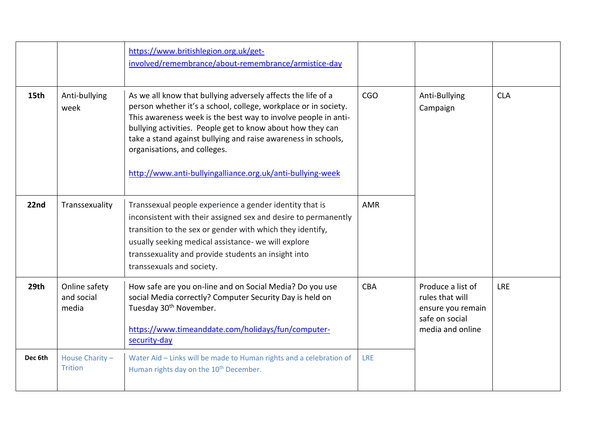|         |                                      | https://www.britishlegion.org.uk/get-<br>involved/remembrance/about-remembrance/armistice-day                                                                                                                                                                                                                                                                                                                                  |            |                                                                                                 |            |
|---------|--------------------------------------|--------------------------------------------------------------------------------------------------------------------------------------------------------------------------------------------------------------------------------------------------------------------------------------------------------------------------------------------------------------------------------------------------------------------------------|------------|-------------------------------------------------------------------------------------------------|------------|
| 15th    | Anti-bullying<br>week                | As we all know that bullying adversely affects the life of a<br>person whether it's a school, college, workplace or in society.<br>This awareness week is the best way to involve people in anti-<br>bullying activities. People get to know about how they can<br>take a stand against bullying and raise awareness in schools,<br>organisations, and colleges.<br>http://www.anti-bullyingalliance.org.uk/anti-bullying-week | <b>CGO</b> | Anti-Bullying<br>Campaign                                                                       | <b>CLA</b> |
| 22nd    | Transsexuality                       | Transsexual people experience a gender identity that is<br>inconsistent with their assigned sex and desire to permanently<br>transition to the sex or gender with which they identify,<br>usually seeking medical assistance- we will explore<br>transsexuality and provide students an insight into<br>transsexuals and society.                                                                                              | <b>AMR</b> |                                                                                                 |            |
| 29th    | Online safety<br>and social<br>media | How safe are you on-line and on Social Media? Do you use<br>social Media correctly? Computer Security Day is held on<br>Tuesday 30 <sup>th</sup> November.<br>https://www.timeanddate.com/holidays/fun/computer-<br>security-day                                                                                                                                                                                               | <b>CBA</b> | Produce a list of<br>rules that will<br>ensure you remain<br>safe on social<br>media and online | <b>LRE</b> |
| Dec 6th | House Charity-<br><b>Trition</b>     | Water Aid - Links will be made to Human rights and a celebration of<br>Human rights day on the 10 <sup>th</sup> December.                                                                                                                                                                                                                                                                                                      | <b>LRE</b> |                                                                                                 |            |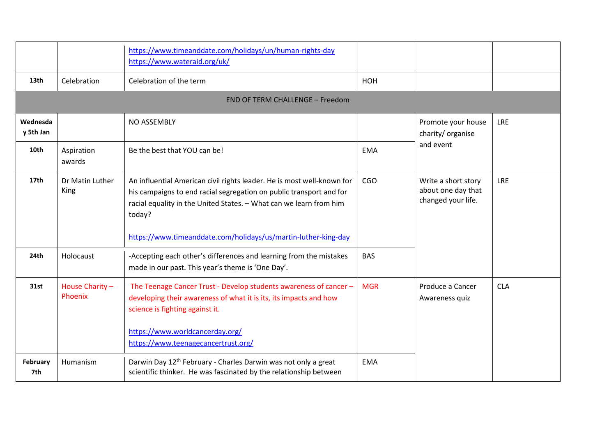|                       |                            | https://www.timeanddate.com/holidays/un/human-rights-day<br>https://www.wateraid.org/uk/                                                                                                                                                                                                        |            |                                                                                                       |            |
|-----------------------|----------------------------|-------------------------------------------------------------------------------------------------------------------------------------------------------------------------------------------------------------------------------------------------------------------------------------------------|------------|-------------------------------------------------------------------------------------------------------|------------|
| 13th                  | Celebration                | Celebration of the term                                                                                                                                                                                                                                                                         | HOH        |                                                                                                       |            |
|                       |                            | <b>END OF TERM CHALLENGE - Freedom</b>                                                                                                                                                                                                                                                          |            |                                                                                                       |            |
| Wednesda<br>y 5th Jan |                            | NO ASSEMBLY                                                                                                                                                                                                                                                                                     |            | Promote your house<br>charity/ organise<br>and event                                                  | <b>LRE</b> |
| 10th                  | Aspiration<br>awards       | Be the best that YOU can be!                                                                                                                                                                                                                                                                    | <b>EMA</b> |                                                                                                       |            |
| 17 <sub>th</sub>      | Dr Matin Luther<br>King    | An influential American civil rights leader. He is most well-known for<br>his campaigns to end racial segregation on public transport and for<br>racial equality in the United States. - What can we learn from him<br>today?<br>https://www.timeanddate.com/holidays/us/martin-luther-king-day | <b>CGO</b> | Write a short story<br>about one day that<br>changed your life.<br>Produce a Cancer<br>Awareness quiz | <b>LRE</b> |
| 24th                  | Holocaust                  | -Accepting each other's differences and learning from the mistakes<br>made in our past. This year's theme is 'One Day'.                                                                                                                                                                         | <b>BAS</b> |                                                                                                       |            |
| 31st                  | House Charity -<br>Phoenix | The Teenage Cancer Trust - Develop students awareness of cancer -<br>developing their awareness of what it is its, its impacts and how<br>science is fighting against it.<br>https://www.worldcancerday.org/<br>https://www.teenagecancertrust.org/                                             | <b>MGR</b> |                                                                                                       | <b>CLA</b> |
| February<br>7th       | Humanism                   | Darwin Day 12 <sup>th</sup> February - Charles Darwin was not only a great<br>scientific thinker. He was fascinated by the relationship between                                                                                                                                                 | <b>EMA</b> |                                                                                                       |            |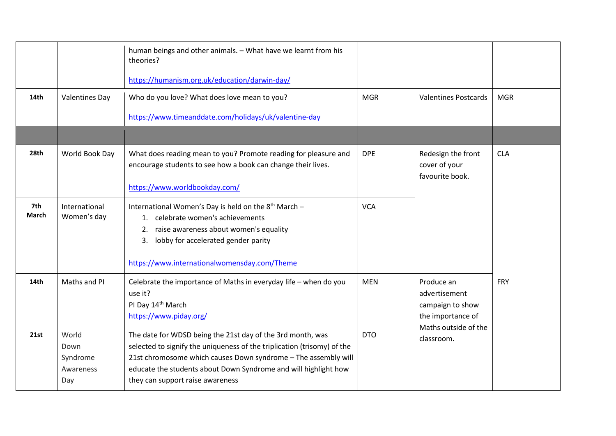|              |                                               | human beings and other animals. - What have we learnt from his<br>theories?<br>https://humanism.org.uk/education/darwin-day/                                                                                                                                                                                   |            |                                                                                                            |            |
|--------------|-----------------------------------------------|----------------------------------------------------------------------------------------------------------------------------------------------------------------------------------------------------------------------------------------------------------------------------------------------------------------|------------|------------------------------------------------------------------------------------------------------------|------------|
| 14th         | <b>Valentines Day</b>                         | Who do you love? What does love mean to you?<br>https://www.timeanddate.com/holidays/uk/valentine-day                                                                                                                                                                                                          | <b>MGR</b> | <b>Valentines Postcards</b>                                                                                | <b>MGR</b> |
|              |                                               |                                                                                                                                                                                                                                                                                                                |            |                                                                                                            |            |
| 28th         | World Book Day                                | What does reading mean to you? Promote reading for pleasure and<br>encourage students to see how a book can change their lives.<br>https://www.worldbookday.com/                                                                                                                                               | <b>DPE</b> | Redesign the front<br>cover of your<br>favourite book.                                                     | <b>CLA</b> |
| 7th<br>March | International<br>Women's day                  | International Women's Day is held on the 8 <sup>th</sup> March -<br>1. celebrate women's achievements<br>raise awareness about women's equality<br>2.<br>lobby for accelerated gender parity<br>3.<br>https://www.internationalwomensday.com/Theme                                                             | <b>VCA</b> |                                                                                                            |            |
| 14th         | Maths and PI                                  | Celebrate the importance of Maths in everyday life - when do you<br>use it?<br>PI Day 14th March<br>https://www.piday.org/                                                                                                                                                                                     | <b>MEN</b> | Produce an<br>advertisement<br>campaign to show<br>the importance of<br>Maths outside of the<br>classroom. | <b>FRY</b> |
| 21st         | World<br>Down<br>Syndrome<br>Awareness<br>Day | The date for WDSD being the 21st day of the 3rd month, was<br>selected to signify the uniqueness of the triplication (trisomy) of the<br>21st chromosome which causes Down syndrome - The assembly will<br>educate the students about Down Syndrome and will highlight how<br>they can support raise awareness | <b>DTO</b> |                                                                                                            |            |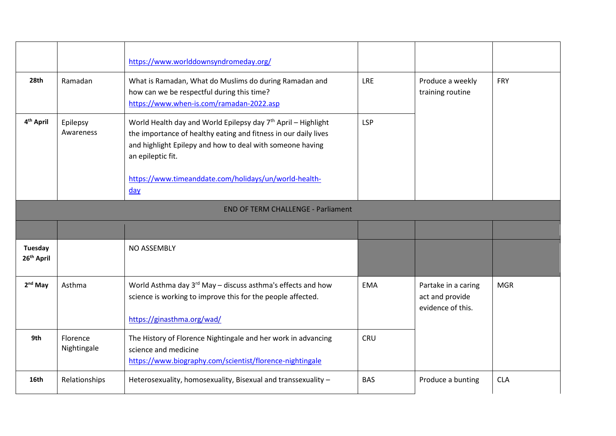|                                           |                         | https://www.worlddownsyndromeday.org/                                                                                                                                                                                                                                                                 |            |                                                             |            |
|-------------------------------------------|-------------------------|-------------------------------------------------------------------------------------------------------------------------------------------------------------------------------------------------------------------------------------------------------------------------------------------------------|------------|-------------------------------------------------------------|------------|
| 28th                                      | Ramadan                 | What is Ramadan, What do Muslims do during Ramadan and<br>how can we be respectful during this time?<br>https://www.when-is.com/ramadan-2022.asp                                                                                                                                                      | <b>LRE</b> | Produce a weekly<br>training routine                        | FRY        |
| 4 <sup>th</sup> April                     | Epilepsy<br>Awareness   | World Health day and World Epilepsy day 7 <sup>th</sup> April - Highlight<br>the importance of healthy eating and fitness in our daily lives<br>and highlight Epilepy and how to deal with someone having<br>an epileptic fit.<br>https://www.timeanddate.com/holidays/un/world-health-<br><u>day</u> | <b>LSP</b> |                                                             |            |
| <b>END OF TERM CHALLENGE - Parliament</b> |                         |                                                                                                                                                                                                                                                                                                       |            |                                                             |            |
|                                           |                         |                                                                                                                                                                                                                                                                                                       |            |                                                             |            |
| <b>Tuesday</b><br>26 <sup>th</sup> April  |                         | NO ASSEMBLY                                                                                                                                                                                                                                                                                           |            |                                                             |            |
| $2nd$ May                                 | Asthma                  | World Asthma day 3rd May - discuss asthma's effects and how<br>science is working to improve this for the people affected.<br>https://ginasthma.org/wad/                                                                                                                                              | <b>EMA</b> | Partake in a caring<br>act and provide<br>evidence of this. | <b>MGR</b> |
| 9th                                       | Florence<br>Nightingale | The History of Florence Nightingale and her work in advancing<br>science and medicine<br>https://www.biography.com/scientist/florence-nightingale                                                                                                                                                     | CRU        |                                                             |            |
| 16th                                      | Relationships           | Heterosexuality, homosexuality, Bisexual and transsexuality -                                                                                                                                                                                                                                         | <b>BAS</b> | Produce a bunting                                           | <b>CLA</b> |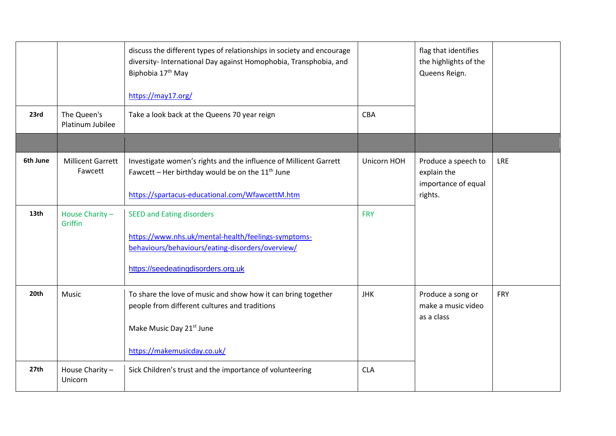|          |                                     | discuss the different types of relationships in society and encourage<br>diversity- International Day against Homophobia, Transphobia, and<br>Biphobia 17 <sup>th</sup> May<br>https://may17.org/ |             | flag that identifies<br>the highlights of the<br>Queens Reign.       |            |
|----------|-------------------------------------|---------------------------------------------------------------------------------------------------------------------------------------------------------------------------------------------------|-------------|----------------------------------------------------------------------|------------|
| 23rd     | The Queen's<br>Platinum Jubilee     | Take a look back at the Queens 70 year reign                                                                                                                                                      | <b>CBA</b>  |                                                                      |            |
| 6th June | <b>Millicent Garrett</b><br>Fawcett | Investigate women's rights and the influence of Millicent Garrett<br>Fawcett - Her birthday would be on the $11th$ June<br>https://spartacus-educational.com/WfawcettM.htm                        | Unicorn HOH | Produce a speech to<br>explain the<br>importance of equal<br>rights. | <b>LRE</b> |
| 13th     | House Charity-<br>Griffin           | <b>SEED and Eating disorders</b><br>https://www.nhs.uk/mental-health/feelings-symptoms-<br>behaviours/behaviours/eating-disorders/overview/<br>https://seedeatingdisorders.org.uk                 | <b>FRY</b>  |                                                                      |            |
| 20th     | Music                               | To share the love of music and show how it can bring together<br>people from different cultures and traditions<br>Make Music Day 21 <sup>st</sup> June<br>https://makemusicday.co.uk/             | <b>JHK</b>  | Produce a song or<br>make a music video<br>as a class                | <b>FRY</b> |
| 27th     | House Charity-<br>Unicorn           | Sick Children's trust and the importance of volunteering                                                                                                                                          | <b>CLA</b>  |                                                                      |            |